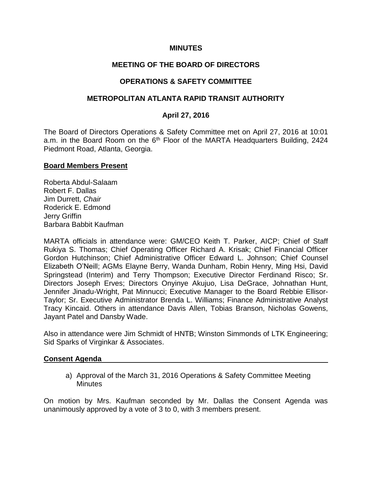### **MINUTES**

## **MEETING OF THE BOARD OF DIRECTORS**

## **OPERATIONS & SAFETY COMMITTEE**

### **METROPOLITAN ATLANTA RAPID TRANSIT AUTHORITY**

### **April 27, 2016**

The Board of Directors Operations & Safety Committee met on April 27, 2016 at 10:01 a.m. in the Board Room on the 6<sup>th</sup> Floor of the MARTA Headquarters Building, 2424 Piedmont Road, Atlanta, Georgia.

#### **Board Members Present**

Roberta Abdul-Salaam Robert F. Dallas Jim Durrett, *Chair* Roderick E. Edmond Jerry Griffin Barbara Babbit Kaufman

MARTA officials in attendance were: GM/CEO Keith T. Parker, AICP; Chief of Staff Rukiya S. Thomas; Chief Operating Officer Richard A. Krisak; Chief Financial Officer Gordon Hutchinson; Chief Administrative Officer Edward L. Johnson; Chief Counsel Elizabeth O'Neill; AGMs Elayne Berry, Wanda Dunham, Robin Henry, Ming Hsi, David Springstead (Interim) and Terry Thompson; Executive Director Ferdinand Risco; Sr. Directors Joseph Erves; Directors Onyinye Akujuo, Lisa DeGrace, Johnathan Hunt, Jennifer Jinadu-Wright, Pat Minnucci; Executive Manager to the Board Rebbie Ellisor-Taylor; Sr. Executive Administrator Brenda L. Williams; Finance Administrative Analyst Tracy Kincaid. Others in attendance Davis Allen, Tobias Branson, Nicholas Gowens, Jayant Patel and Dansby Wade.

Also in attendance were Jim Schmidt of HNTB; Winston Simmonds of LTK Engineering; Sid Sparks of Virginkar & Associates.

#### **Consent Agenda**

a) Approval of the March 31, 2016 Operations & Safety Committee Meeting **Minutes** 

On motion by Mrs. Kaufman seconded by Mr. Dallas the Consent Agenda was unanimously approved by a vote of 3 to 0, with 3 members present.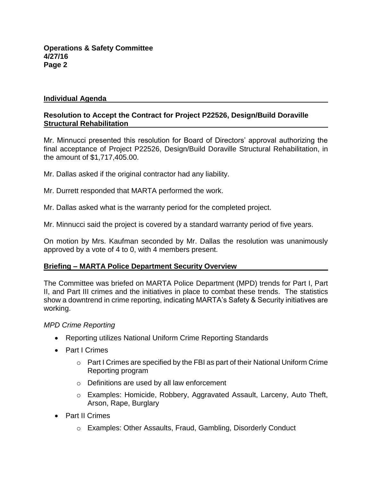## **Individual Agenda**

## **Resolution to Accept the Contract for Project P22526, Design/Build Doraville Structural Rehabilitation**

Mr. Minnucci presented this resolution for Board of Directors' approval authorizing the final acceptance of Project P22526, Design/Build Doraville Structural Rehabilitation, in the amount of \$1,717,405.00.

Mr. Dallas asked if the original contractor had any liability.

Mr. Durrett responded that MARTA performed the work.

Mr. Dallas asked what is the warranty period for the completed project.

Mr. Minnucci said the project is covered by a standard warranty period of five years.

On motion by Mrs. Kaufman seconded by Mr. Dallas the resolution was unanimously approved by a vote of 4 to 0, with 4 members present.

## **Briefing – MARTA Police Department Security Overview**

The Committee was briefed on MARTA Police Department (MPD) trends for Part I, Part II, and Part III crimes and the initiatives in place to combat these trends. The statistics show a downtrend in crime reporting, indicating MARTA's Safety & Security initiatives are working.

*MPD Crime Reporting*

- Reporting utilizes National Uniform Crime Reporting Standards
- Part I Crimes
	- o Part I Crimes are specified by the FBI as part of their National Uniform Crime Reporting program
	- o Definitions are used by all law enforcement
	- o Examples: Homicide, Robbery, Aggravated Assault, Larceny, Auto Theft, Arson, Rape, Burglary
- Part II Crimes
	- o Examples: Other Assaults, Fraud, Gambling, Disorderly Conduct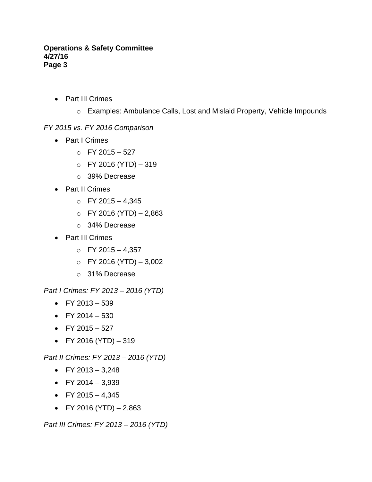- Part III Crimes
	- o Examples: Ambulance Calls, Lost and Mislaid Property, Vehicle Impounds

# *FY 2015 vs. FY 2016 Comparison*

- Part I Crimes
	- $O$  FY 2015 527
	- $O$  FY 2016 (YTD) 319
	- o 39% Decrease
- Part II Crimes
	- $O$  FY 2015 4,345
	- $O$  FY 2016 (YTD) 2,863
	- o 34% Decrease
- Part III Crimes
	- $O$  FY 2015 4,357
	- $O$  FY 2016 (YTD)  $-3,002$
	- o 31% Decrease

*Part I Crimes: FY 2013 – 2016 (YTD)*

- $\bullet$  FY 2013 539
- $\bullet$  FY 2014 530
- $\bullet$  FY 2015 527
- FY 2016 (YTD)  $-319$

*Part II Crimes: FY 2013 – 2016 (YTD)*

- FY 2013 3,248
- FY 2014 3,939
- $\bullet$  FY 2015 4,345
- FY 2016 (YTD)  $2,863$

*Part III Crimes: FY 2013 – 2016 (YTD)*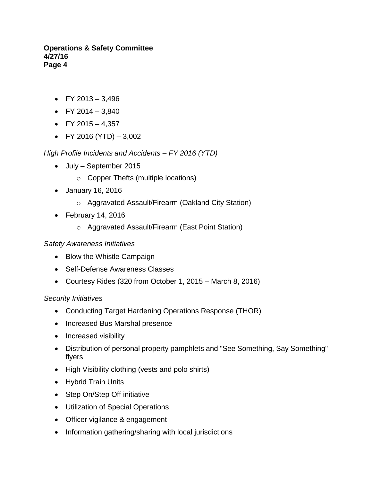- $\bullet$  FY 2013 3,496
- FY 2014 3,840
- FY 2015 4,357
- FY 2016 (YTD)  $-3,002$

*High Profile Incidents and Accidents – FY 2016 (YTD)*

- July September 2015
	- o Copper Thefts (multiple locations)
- January 16, 2016
	- o Aggravated Assault/Firearm (Oakland City Station)
- $\bullet$  February 14, 2016
	- o Aggravated Assault/Firearm (East Point Station)

# *Safety Awareness Initiatives*

- Blow the Whistle Campaign
- Self-Defense Awareness Classes
- Courtesy Rides (320 from October 1, 2015 March 8, 2016)

# *Security Initiatives*

- Conducting Target Hardening Operations Response (THOR)
- Increased Bus Marshal presence
- Increased visibility
- Distribution of personal property pamphlets and "See Something, Say Something" flyers
- High Visibility clothing (vests and polo shirts)
- Hybrid Train Units
- Step On/Step Off initiative
- Utilization of Special Operations
- Officer vigilance & engagement
- Information gathering/sharing with local jurisdictions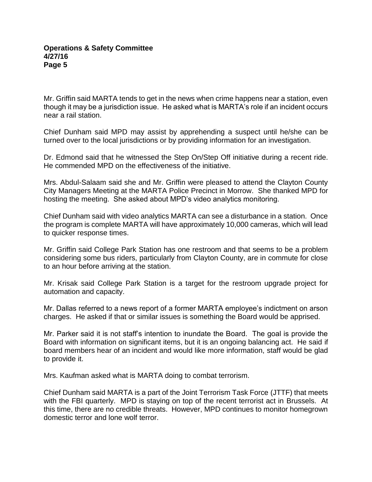Mr. Griffin said MARTA tends to get in the news when crime happens near a station, even though it may be a jurisdiction issue. He asked what is MARTA's role if an incident occurs near a rail station.

Chief Dunham said MPD may assist by apprehending a suspect until he/she can be turned over to the local jurisdictions or by providing information for an investigation.

Dr. Edmond said that he witnessed the Step On/Step Off initiative during a recent ride. He commended MPD on the effectiveness of the initiative.

Mrs. Abdul-Salaam said she and Mr. Griffin were pleased to attend the Clayton County City Managers Meeting at the MARTA Police Precinct in Morrow. She thanked MPD for hosting the meeting. She asked about MPD's video analytics monitoring.

Chief Dunham said with video analytics MARTA can see a disturbance in a station. Once the program is complete MARTA will have approximately 10,000 cameras, which will lead to quicker response times.

Mr. Griffin said College Park Station has one restroom and that seems to be a problem considering some bus riders, particularly from Clayton County, are in commute for close to an hour before arriving at the station.

Mr. Krisak said College Park Station is a target for the restroom upgrade project for automation and capacity.

Mr. Dallas referred to a news report of a former MARTA employee's indictment on arson charges. He asked if that or similar issues is something the Board would be apprised.

Mr. Parker said it is not staff's intention to inundate the Board. The goal is provide the Board with information on significant items, but it is an ongoing balancing act. He said if board members hear of an incident and would like more information, staff would be glad to provide it.

Mrs. Kaufman asked what is MARTA doing to combat terrorism.

Chief Dunham said MARTA is a part of the Joint Terrorism Task Force (JTTF) that meets with the FBI quarterly. MPD is staying on top of the recent terrorist act in Brussels. At this time, there are no credible threats. However, MPD continues to monitor homegrown domestic terror and lone wolf terror.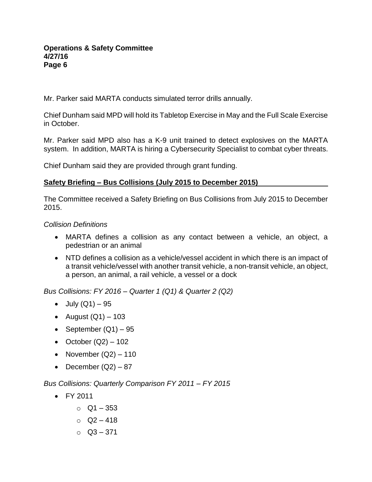Mr. Parker said MARTA conducts simulated terror drills annually.

Chief Dunham said MPD will hold its Tabletop Exercise in May and the Full Scale Exercise in October.

Mr. Parker said MPD also has a K-9 unit trained to detect explosives on the MARTA system. In addition, MARTA is hiring a Cybersecurity Specialist to combat cyber threats.

Chief Dunham said they are provided through grant funding.

# **Safety Briefing – Bus Collisions (July 2015 to December 2015)**

The Committee received a Safety Briefing on Bus Collisions from July 2015 to December 2015.

*Collision Definitions*

- MARTA defines a collision as any contact between a vehicle, an object, a pedestrian or an animal
- NTD defines a collision as a vehicle/vessel accident in which there is an impact of a transit vehicle/vessel with another transit vehicle, a non-transit vehicle, an object, a person, an animal, a rail vehicle, a vessel or a dock

*Bus Collisions: FY 2016 – Quarter 1 (Q1) & Quarter 2 (Q2)*

- $\bullet$  July (Q1) 95
- August  $(Q1) 103$
- September  $(Q1) 95$
- October  $(Q2) 102$
- November  $(Q2) 110$
- December  $(Q2) 87$

*Bus Collisions: Quarterly Comparison FY 2011 – FY 2015*

- FY 2011
	- $O$  Q1 353
	- $O = Q2 418$
	- $O$  Q3 371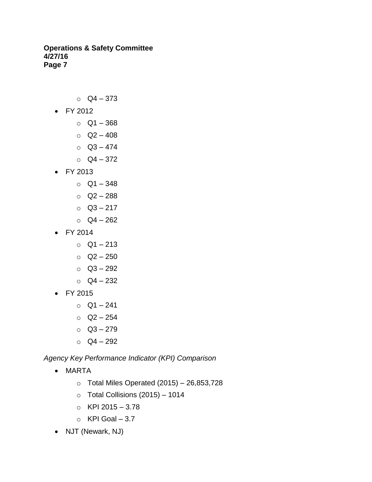- $O$  Q4 373
- FY 2012
	- o Q1 368
	- $O = Q2 408$
	- $O$  Q3 474
	- $O$  Q4 372
- FY 2013
	- $O$  Q1 348
	- $O = Q2 288$
	- $O$  Q3 217
	- $O$  Q4 262
- FY 2014
	- o Q1 213
	- $O = Q2 250$
	- $O$  Q3 292
	- $O = Q4 232$
- FY 2015
	- $O = Q1 241$
	- o Q2 254
	- $O = Q3 279$
	- o Q4 292

*Agency Key Performance Indicator (KPI) Comparison*

- MARTA
	- $\circ$  Total Miles Operated (2015) 26,853,728
	- $\circ$  Total Collisions (2015) 1014
	- $O$  KPI 2015 3.78
	- $\circ$  KPI Goal 3.7
- NJT (Newark, NJ)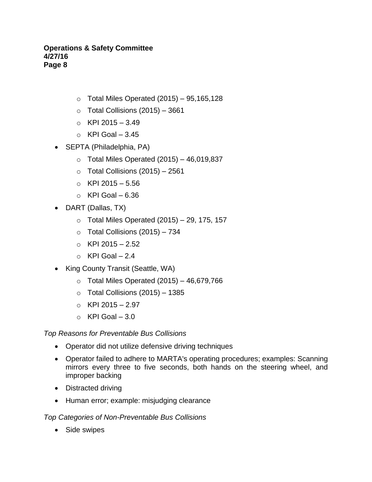- $\circ$  Total Miles Operated (2015) 95,165,128
- $\circ$  Total Collisions (2015) 3661
- $\circ$  KPI 2015 3.49
- $\circ$  KPI Goal 3.45
- SEPTA (Philadelphia, PA)
	- $\circ$  Total Miles Operated (2015) 46,019,837
	- $\circ$  Total Collisions (2015) 2561
	- $\circ$  KPI 2015 5.56
	- $\circ$  KPI Goal 6.36
- DART (Dallas, TX)
	- $\circ$  Total Miles Operated (2015) 29, 175, 157
	- $\circ$  Total Collisions (2015) 734
	- $\circ$  KPI 2015 2.52
	- $\circ$  KPI Goal 2.4
- King County Transit (Seattle, WA)
	- $\circ$  Total Miles Operated (2015) 46,679,766
	- $\circ$  Total Collisions (2015) 1385
	- $O$  KPI 2015 2.97
	- $\circ$  KPI Goal 3.0

*Top Reasons for Preventable Bus Collisions*

- Operator did not utilize defensive driving techniques
- Operator failed to adhere to MARTA's operating procedures; examples: Scanning mirrors every three to five seconds, both hands on the steering wheel, and improper backing
- Distracted driving
- Human error; example: misjudging clearance

## *Top Categories of Non-Preventable Bus Collisions*

• Side swipes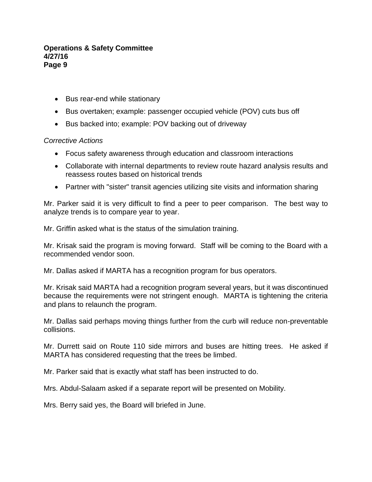- Bus rear-end while stationary
- Bus overtaken; example: passenger occupied vehicle (POV) cuts bus off
- Bus backed into; example: POV backing out of driveway

## *Corrective Actions*

- Focus safety awareness through education and classroom interactions
- Collaborate with internal departments to review route hazard analysis results and reassess routes based on historical trends
- Partner with "sister" transit agencies utilizing site visits and information sharing

Mr. Parker said it is very difficult to find a peer to peer comparison. The best way to analyze trends is to compare year to year.

Mr. Griffin asked what is the status of the simulation training.

Mr. Krisak said the program is moving forward. Staff will be coming to the Board with a recommended vendor soon.

Mr. Dallas asked if MARTA has a recognition program for bus operators.

Mr. Krisak said MARTA had a recognition program several years, but it was discontinued because the requirements were not stringent enough. MARTA is tightening the criteria and plans to relaunch the program.

Mr. Dallas said perhaps moving things further from the curb will reduce non-preventable collisions.

Mr. Durrett said on Route 110 side mirrors and buses are hitting trees. He asked if MARTA has considered requesting that the trees be limbed.

Mr. Parker said that is exactly what staff has been instructed to do.

Mrs. Abdul-Salaam asked if a separate report will be presented on Mobility.

Mrs. Berry said yes, the Board will briefed in June.